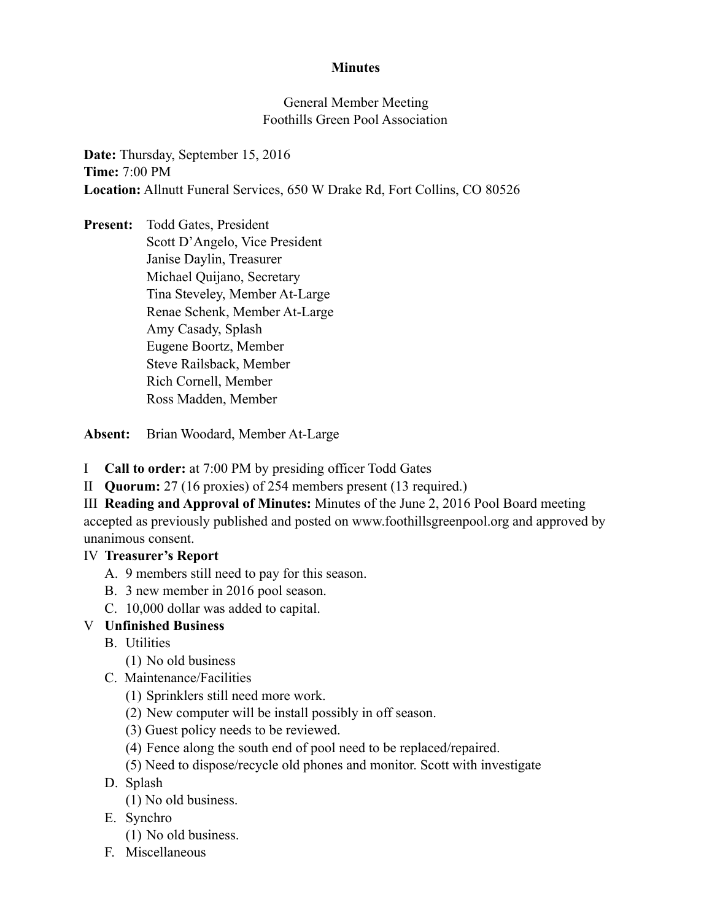### **Minutes**

### General Member Meeting Foothills Green Pool Association

**Date:** Thursday, September 15, 2016 **Time:** 7:00 PM **Location:** Allnutt Funeral Services, 650 W Drake Rd, Fort Collins, CO 80526

**Present:** Todd Gates, President Scott D'Angelo, Vice President Janise Daylin, Treasurer Michael Quijano, Secretary Tina Steveley, Member At-Large Renae Schenk, Member At-Large Amy Casady, Splash Eugene Boortz, Member Steve Railsback, Member Rich Cornell, Member Ross Madden, Member

**Absent:** Brian Woodard, Member At-Large

- I **Call to order:** at 7:00 PM by presiding officer Todd Gates
- II **Quorum:** 27 (16 proxies) of 254 members present (13 required.)

III **Reading and Approval of Minutes:** Minutes of the June 2, 2016 Pool Board meeting accepted as previously published and posted on www.foothillsgreenpool.org and approved by unanimous consent.

# IV **Treasurer's Report**

- A. 9 members still need to pay for this season.
- B. 3 new member in 2016 pool season.
- C. 10,000 dollar was added to capital.

# V **Unfinished Business**

- B. Utilities
	- (1) No old business
- C. Maintenance/Facilities
	- (1) Sprinklers still need more work.
	- (2) New computer will be install possibly in off season.
	- (3) Guest policy needs to be reviewed.
	- (4) Fence along the south end of pool need to be replaced/repaired.
	- (5) Need to dispose/recycle old phones and monitor. Scott with investigate
- D. Splash
	- (1) No old business.
- E. Synchro
	- (1) No old business.
- F. Miscellaneous